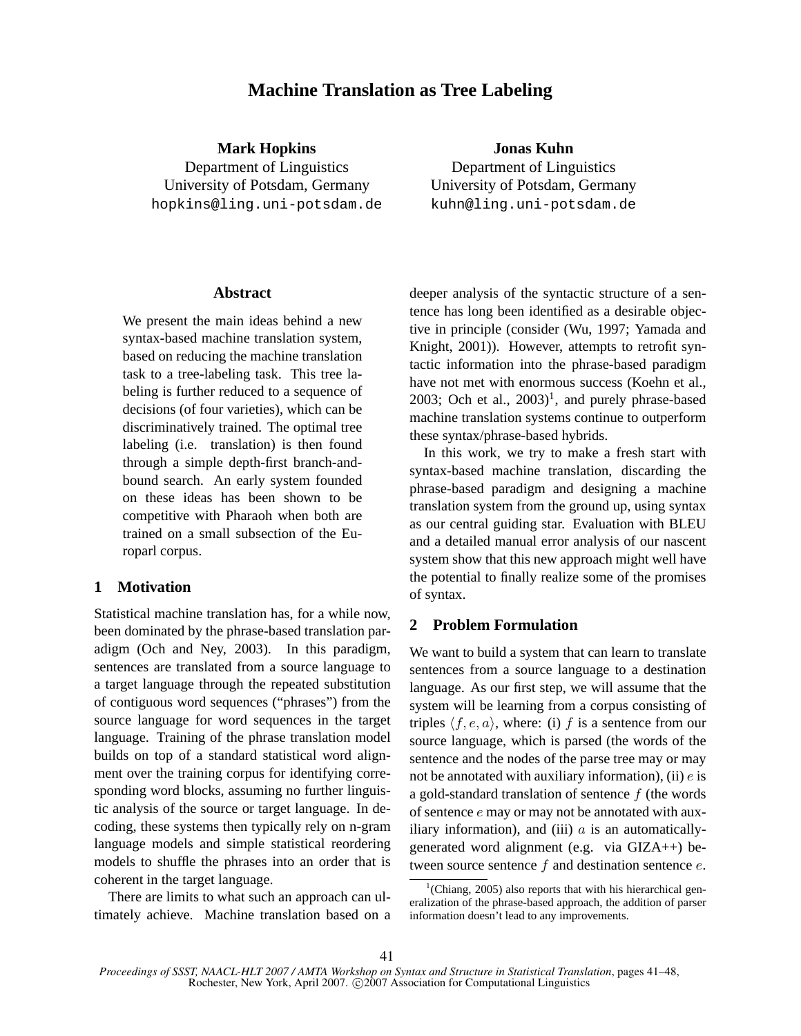# **Machine Translation as Tree Labeling**

**Mark Hopkins** Department of Linguistics University of Potsdam, Germany hopkins@ling.uni-potsdam.de

**Jonas Kuhn** Department of Linguistics University of Potsdam, Germany kuhn@ling.uni-potsdam.de

#### **Abstract**

We present the main ideas behind a new syntax-based machine translation system, based on reducing the machine translation task to a tree-labeling task. This tree labeling is further reduced to a sequence of decisions (of four varieties), which can be discriminatively trained. The optimal tree labeling (i.e. translation) is then found through a simple depth-first branch-andbound search. An early system founded on these ideas has been shown to be competitive with Pharaoh when both are trained on a small subsection of the Europarl corpus.

### **1 Motivation**

Statistical machine translation has, for a while now, been dominated by the phrase-based translation paradigm (Och and Ney, 2003). In this paradigm, sentences are translated from a source language to a target language through the repeated substitution of contiguous word sequences ("phrases") from the source language for word sequences in the target language. Training of the phrase translation model builds on top of a standard statistical word alignment over the training corpus for identifying corresponding word blocks, assuming no further linguistic analysis of the source or target language. In decoding, these systems then typically rely on n-gram language models and simple statistical reordering models to shuffle the phrases into an order that is coherent in the target language.

There are limits to what such an approach can ultimately achieve. Machine translation based on a deeper analysis of the syntactic structure of a sentence has long been identified as a desirable objective in principle (consider (Wu, 1997; Yamada and Knight, 2001)). However, attempts to retrofit syntactic information into the phrase-based paradigm have not met with enormous success (Koehn et al.,  $2003$ ; Och et al.,  $2003$ <sup>1</sup>, and purely phrase-based machine translation systems continue to outperform these syntax/phrase-based hybrids.

In this work, we try to make a fresh start with syntax-based machine translation, discarding the phrase-based paradigm and designing a machine translation system from the ground up, using syntax as our central guiding star. Evaluation with BLEU and a detailed manual error analysis of our nascent system show that this new approach might well have the potential to finally realize some of the promises of syntax.

## **2 Problem Formulation**

We want to build a system that can learn to translate sentences from a source language to a destination language. As our first step, we will assume that the system will be learning from a corpus consisting of triples  $\langle f, e, a \rangle$ , where: (i) f is a sentence from our source language, which is parsed (the words of the sentence and the nodes of the parse tree may or may not be annotated with auxiliary information), (ii)  $e$  is a gold-standard translation of sentence  $f$  (the words of sentence e may or may not be annotated with auxiliary information), and (iii)  $\alpha$  is an automaticallygenerated word alignment (e.g. via GIZA++) between source sentence  $f$  and destination sentence  $e$ .

 $1$ <sup>1</sup>(Chiang, 2005) also reports that with his hierarchical generalization of the phrase-based approach, the addition of parser information doesn't lead to any improvements.

*Proceedings of SSST, NAACL-HLT 2007 / AMTA Workshop on Syntax and Structure in Statistical Translation*, pages 41–48, Rochester, New York, April 2007. ©2007 Association for Computational Linguistics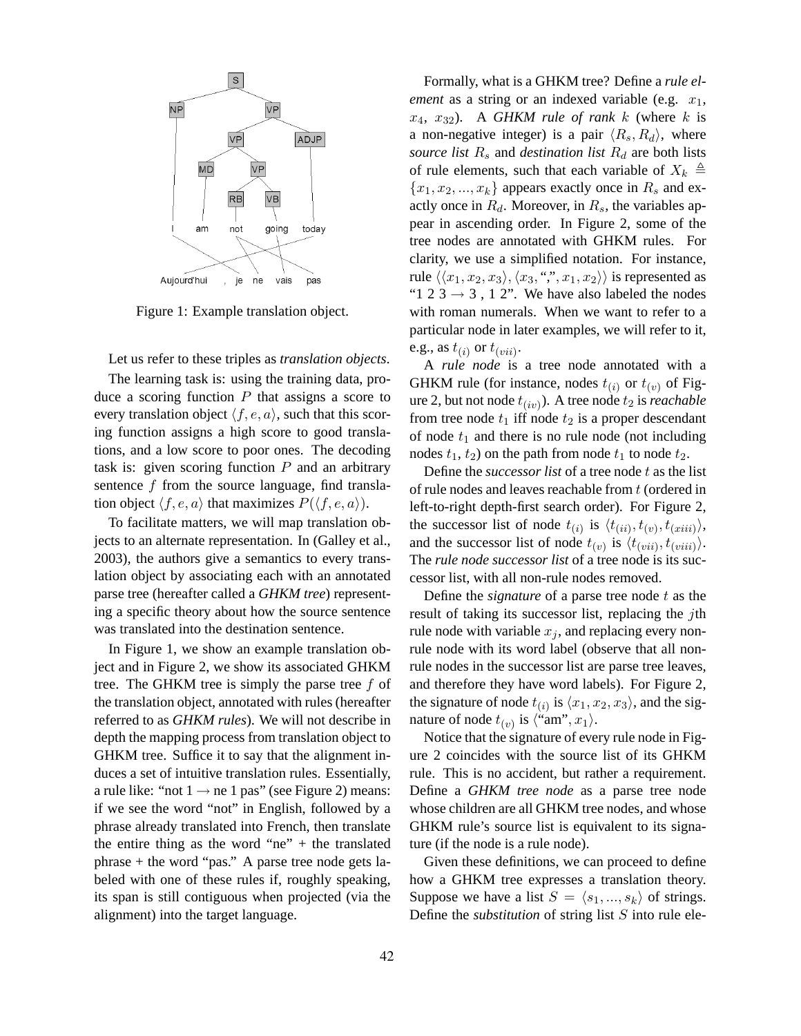

Figure 1: Example translation object.

Let us refer to these triples as *translation objects*.

The learning task is: using the training data, produce a scoring function  $P$  that assigns a score to every translation object  $\langle f, e, a \rangle$ , such that this scoring function assigns a high score to good translations, and a low score to poor ones. The decoding task is: given scoring function  $P$  and an arbitrary sentence  $f$  from the source language, find translation object  $\langle f, e, a \rangle$  that maximizes  $P(\langle f, e, a \rangle)$ .

To facilitate matters, we will map translation objects to an alternate representation. In (Galley et al., 2003), the authors give a semantics to every translation object by associating each with an annotated parse tree (hereafter called a *GHKM tree*) representing a specific theory about how the source sentence was translated into the destination sentence.

In Figure 1, we show an example translation object and in Figure 2, we show its associated GHKM tree. The GHKM tree is simply the parse tree  $f$  of the translation object, annotated with rules (hereafter referred to as *GHKM rules*). We will not describe in depth the mapping process from translation object to GHKM tree. Suffice it to say that the alignment induces a set of intuitive translation rules. Essentially, a rule like: "not  $1 \rightarrow$  ne 1 pas" (see Figure 2) means: if we see the word "not" in English, followed by a phrase already translated into French, then translate the entire thing as the word "ne"  $+$  the translated phrase + the word "pas." A parse tree node gets labeled with one of these rules if, roughly speaking, its span is still contiguous when projected (via the alignment) into the target language.

Formally, what is a GHKM tree? Define a *rule element* as a string or an indexed variable (e.g.  $x_1$ ,  $x_4$ ,  $x_{32}$ ). A *GHKM rule of rank k* (where k is a non-negative integer) is a pair  $\langle R_s, R_d \rangle$ , where *source list*  $R_s$  and *destination list*  $R_d$  are both lists of rule elements, such that each variable of  $X_k \triangleq$  ${x_1, x_2, ..., x_k}$  appears exactly once in  $R_s$  and exactly once in  $R_d$ . Moreover, in  $R_s$ , the variables appear in ascending order. In Figure 2, some of the tree nodes are annotated with GHKM rules. For clarity, we use a simplified notation. For instance, rule  $\langle \langle x_1, x_2, x_3 \rangle, \langle x_3, "", x_1, x_2 \rangle \rangle$  is represented as " $1\ 2\ 3 \rightarrow 3$ ,  $1\ 2$ ". We have also labeled the nodes with roman numerals. When we want to refer to a particular node in later examples, we will refer to it, e.g., as  $t_{(i)}$  or  $t_{(vii)}$ .

A *rule node* is a tree node annotated with a GHKM rule (for instance, nodes  $t_{(i)}$  or  $t_{(v)}$  of Figure 2, but not node  $t_{(iv)}$ ). A tree node  $t_2$  is *reachable* from tree node  $t_1$  iff node  $t_2$  is a proper descendant of node  $t_1$  and there is no rule node (not including nodes  $t_1$ ,  $t_2$ ) on the path from node  $t_1$  to node  $t_2$ .

Define the *successor list* of a tree node t as the list of rule nodes and leaves reachable from t (ordered in left-to-right depth-first search order). For Figure 2, the successor list of node  $t_{(i)}$  is  $\langle t_{(ii)}, t_{(v)}, t_{(xiii)} \rangle$ , and the successor list of node  $t_{(v)}$  is  $\langle t_{(vii)}, t_{(viii)} \rangle$ . The *rule node successor list* of a tree node is its successor list, with all non-rule nodes removed.

Define the *signature* of a parse tree node t as the result of taking its successor list, replacing the *j*th rule node with variable  $x_j$ , and replacing every nonrule node with its word label (observe that all nonrule nodes in the successor list are parse tree leaves, and therefore they have word labels). For Figure 2, the signature of node  $t_{(i)}$  is  $\langle x_1, x_2, x_3 \rangle$ , and the signature of node  $t_{(v)}$  is  $\langle \text{``am''}, x_1 \rangle$ .

Notice that the signature of every rule node in Figure 2 coincides with the source list of its GHKM rule. This is no accident, but rather a requirement. Define a *GHKM tree node* as a parse tree node whose children are all GHKM tree nodes, and whose GHKM rule's source list is equivalent to its signature (if the node is a rule node).

Given these definitions, we can proceed to define how a GHKM tree expresses a translation theory. Suppose we have a list  $S = \langle s_1, ..., s_k \rangle$  of strings. Define the *substitution* of string list S into rule ele-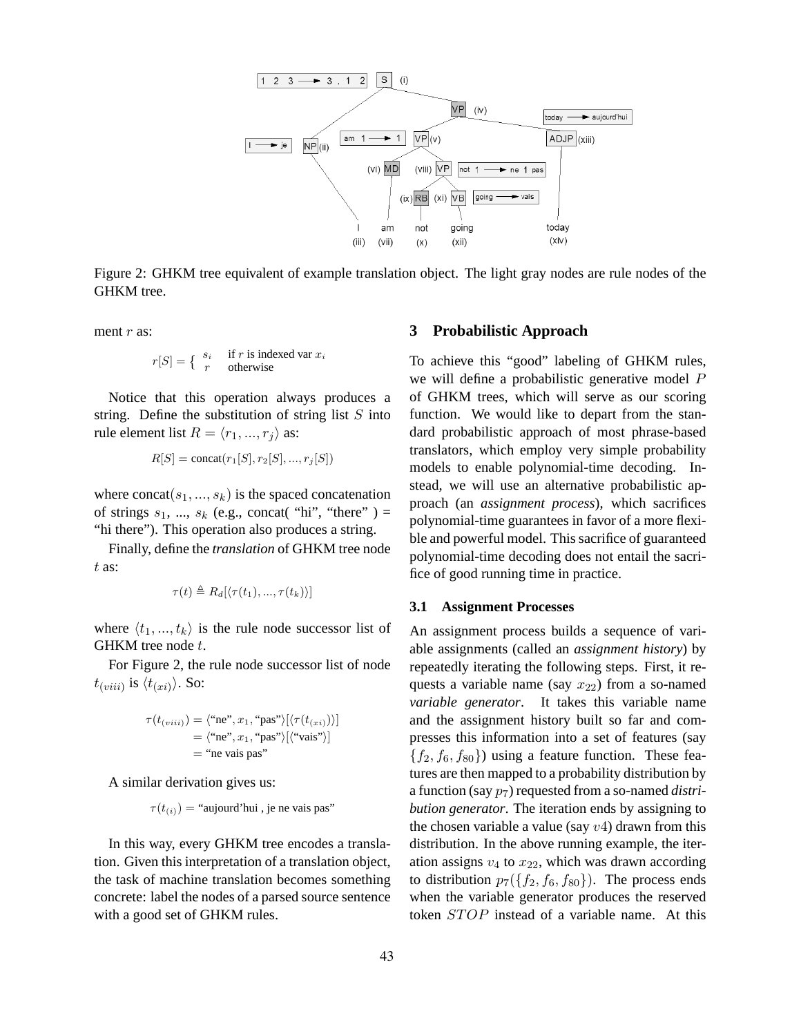

Figure 2: GHKM tree equivalent of example translation object. The light gray nodes are rule nodes of the GHKM tree.

ment  $r$  as:

$$
r[S] = \left\{ \begin{array}{ll} s_i & \text{if } r \text{ is indexed var } x_i \\ r & \text{otherwise} \end{array} \right.
$$

Notice that this operation always produces a string. Define the substitution of string list  $S$  into rule element list  $R = \langle r_1, ..., r_j \rangle$  as:

$$
R[S] = \text{concat}(r_1[S], r_2[S], ..., r_j[S])
$$

where  $concat(s_1, ..., s_k)$  is the spaced concatenation of strings  $s_1$ , ...,  $s_k$  (e.g., concat( "hi", "there") = "hi there"). This operation also produces a string.

Finally, define the *translation* of GHKM tree node t as:

$$
\tau(t) \triangleq R_d[\langle \tau(t_1), \ldots, \tau(t_k) \rangle]
$$

where  $\langle t_1, ..., t_k \rangle$  is the rule node successor list of GHKM tree node t.

For Figure 2, the rule node successor list of node  $t_{(viii)}$  is  $\langle t_{(xi)} \rangle$ . So:

$$
\tau(t_{(viii)}) = \langle \text{``ne''}, x_1, \text{``pas''}\rangle[\langle \tau(t_{(xi)}) \rangle]
$$
  
=  $\langle \text{``ne''}, x_1, \text{``pas''}\rangle[\langle \text{``vais''}\rangle]$   
= "ne viais pas"

A similar derivation gives us:

$$
\tau(t_{(i)}) = "augourd'hui, je ne viais pas"
$$

In this way, every GHKM tree encodes a translation. Given this interpretation of a translation object, the task of machine translation becomes something concrete: label the nodes of a parsed source sentence with a good set of GHKM rules.

### **3 Probabilistic Approach**

 $r[S] = \begin{cases} s_i & \text{if } r \text{ is indexed var } x_i \\ r & \text{otherwise} \end{cases}$  To achieve this "good" labeling of GHKM rules, we will define a probabilistic generative model P of GHKM trees, which will serve as our scoring function. We would like to depart from the standard probabilistic approach of most phrase-based translators, which employ very simple probability models to enable polynomial-time decoding. Instead, we will use an alternative probabilistic approach (an *assignment process*), which sacrifices polynomial-time guarantees in favor of a more flexible and powerful model. This sacrifice of guaranteed polynomial-time decoding does not entail the sacrifice of good running time in practice.

#### **3.1 Assignment Processes**

An assignment process builds a sequence of variable assignments (called an *assignment history*) by repeatedly iterating the following steps. First, it requests a variable name (say  $x_{22}$ ) from a so-named *variable generator*. It takes this variable name and the assignment history built so far and compresses this information into a set of features (say  ${f_2, f_6, f_{80}}$ ) using a feature function. These features are then mapped to a probability distribution by a function (say p7) requested from a so-named *distribution generator*. The iteration ends by assigning to the chosen variable a value (say  $v$ 4) drawn from this distribution. In the above running example, the iteration assigns  $v_4$  to  $x_{22}$ , which was drawn according to distribution  $p_7({f_2, f_6, f_{80}})$ . The process ends when the variable generator produces the reserved token STOP instead of a variable name. At this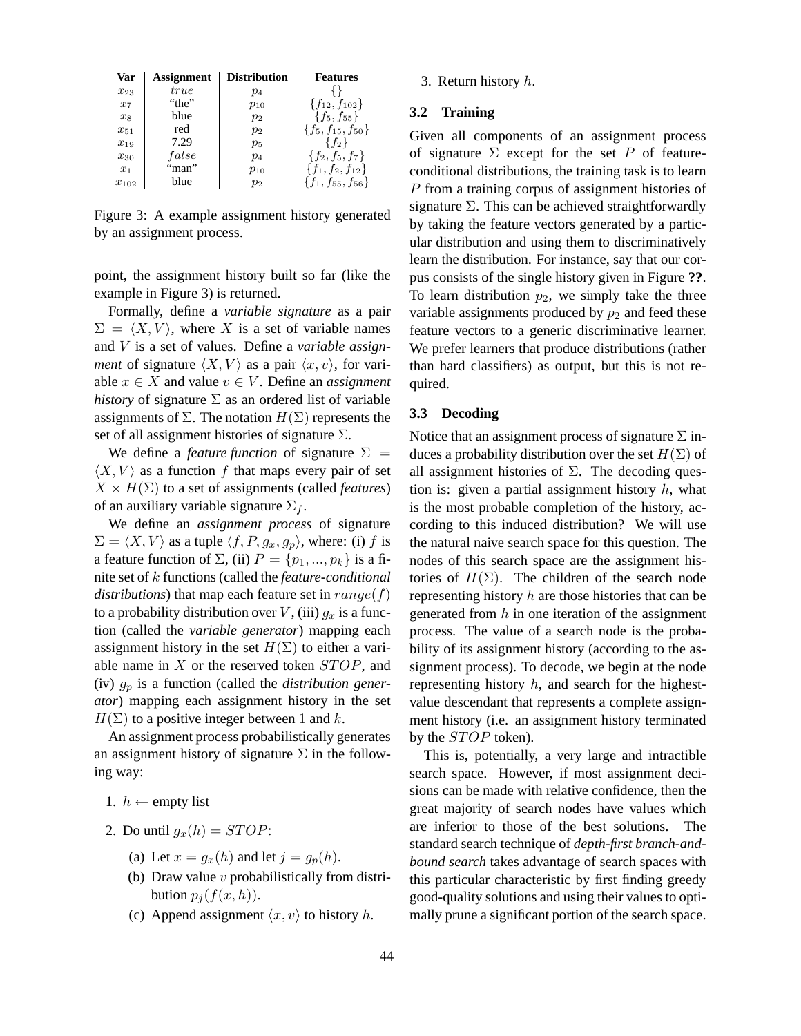| Var       | <b>Assignment</b> | <b>Distribution</b> | <b>Features</b>            |
|-----------|-------------------|---------------------|----------------------------|
| $x_{23}$  | true              | $p_4$               |                            |
| $x_7$     | "the"             | $p_{10}$            | $\{f_{12}, f_{102}\}\$     |
| $x_8$     | blue              | $p_2$               | $\{f_5, f_{55}\}\$         |
| $x_{51}$  | red               | $p_2$               | $\{f_5, f_{15}, f_{50}\}\$ |
| $x_{19}$  | 7.29              | $p_5$               | ${f_2}$                    |
| $x_{30}$  | false             | p <sub>4</sub>      | $\{f_2, f_5, f_7\}$        |
| $x_1$     | "man"             | $p_{10}$            | $\{f_1, f_2, f_{12}\}\$    |
| $x_{102}$ | blue              | $p_2$               | $\{f_1, f_{55}, f_{56}\}\$ |

Figure 3: A example assignment history generated by an assignment process.

point, the assignment history built so far (like the example in Figure 3) is returned.

Formally, define a *variable signature* as a pair  $\Sigma = \langle X, V \rangle$ , where X is a set of variable names and V is a set of values. Define a *variable assignment* of signature  $\langle X, V \rangle$  as a pair  $\langle x, v \rangle$ , for variable  $x \in X$  and value  $v \in V$ . Define an *assignment history* of signature  $\Sigma$  as an ordered list of variable assignments of  $\Sigma$ . The notation  $H(\Sigma)$  represents the set of all assignment histories of signature  $\Sigma$ .

We define a *feature function* of signature  $\Sigma =$  $\langle X, V \rangle$  as a function f that maps every pair of set  $X \times H(\Sigma)$  to a set of assignments (called *features*) of an auxiliary variable signature  $\Sigma_f$ .

We define an *assignment process* of signature  $\Sigma = \langle X, V \rangle$  as a tuple  $\langle f, P, g_x, g_p \rangle$ , where: (i) f is a feature function of  $\Sigma$ , (ii)  $P = \{p_1, ..., p_k\}$  is a finite set of k functions (called the *feature-conditional distributions*) that map each feature set in  $range(f)$ to a probability distribution over V, (iii)  $g_x$  is a function (called the *variable generator*) mapping each assignment history in the set  $H(\Sigma)$  to either a variable name in  $X$  or the reserved token  $STOP$ , and (iv) g<sup>p</sup> is a function (called the *distribution generator*) mapping each assignment history in the set  $H(\Sigma)$  to a positive integer between 1 and k.

An assignment process probabilistically generates an assignment history of signature  $\Sigma$  in the following way:

1.  $h$  ← empty list

- 2. Do until  $g_x(h) = STOP$ :
	- (a) Let  $x = g_x(h)$  and let  $j = g_p(h)$ .
	- (b) Draw value  $v$  probabilistically from distribution  $p_i(f(x, h))$ .
	- (c) Append assignment  $\langle x, v \rangle$  to history h.

3. Return history  $h$ .

#### **3.2 Training**

Given all components of an assignment process of signature  $\Sigma$  except for the set P of featureconditional distributions, the training task is to learn P from a training corpus of assignment histories of signature  $\Sigma$ . This can be achieved straightforwardly by taking the feature vectors generated by a particular distribution and using them to discriminatively learn the distribution. For instance, say that our corpus consists of the single history given in Figure **??**. To learn distribution  $p_2$ , we simply take the three variable assignments produced by  $p_2$  and feed these feature vectors to a generic discriminative learner. We prefer learners that produce distributions (rather than hard classifiers) as output, but this is not required.

## **3.3 Decoding**

Notice that an assignment process of signature  $\Sigma$  induces a probability distribution over the set  $H(\Sigma)$  of all assignment histories of  $\Sigma$ . The decoding question is: given a partial assignment history  $h$ , what is the most probable completion of the history, according to this induced distribution? We will use the natural naive search space for this question. The nodes of this search space are the assignment histories of  $H(\Sigma)$ . The children of the search node representing history  $h$  are those histories that can be generated from  $h$  in one iteration of the assignment process. The value of a search node is the probability of its assignment history (according to the assignment process). To decode, we begin at the node representing history  $h$ , and search for the highestvalue descendant that represents a complete assignment history (i.e. an assignment history terminated by the *STOP* token).

This is, potentially, a very large and intractible search space. However, if most assignment decisions can be made with relative confidence, then the great majority of search nodes have values which are inferior to those of the best solutions. The standard search technique of *depth-first branch-andbound search* takes advantage of search spaces with this particular characteristic by first finding greedy good-quality solutions and using their values to optimally prune a significant portion of the search space.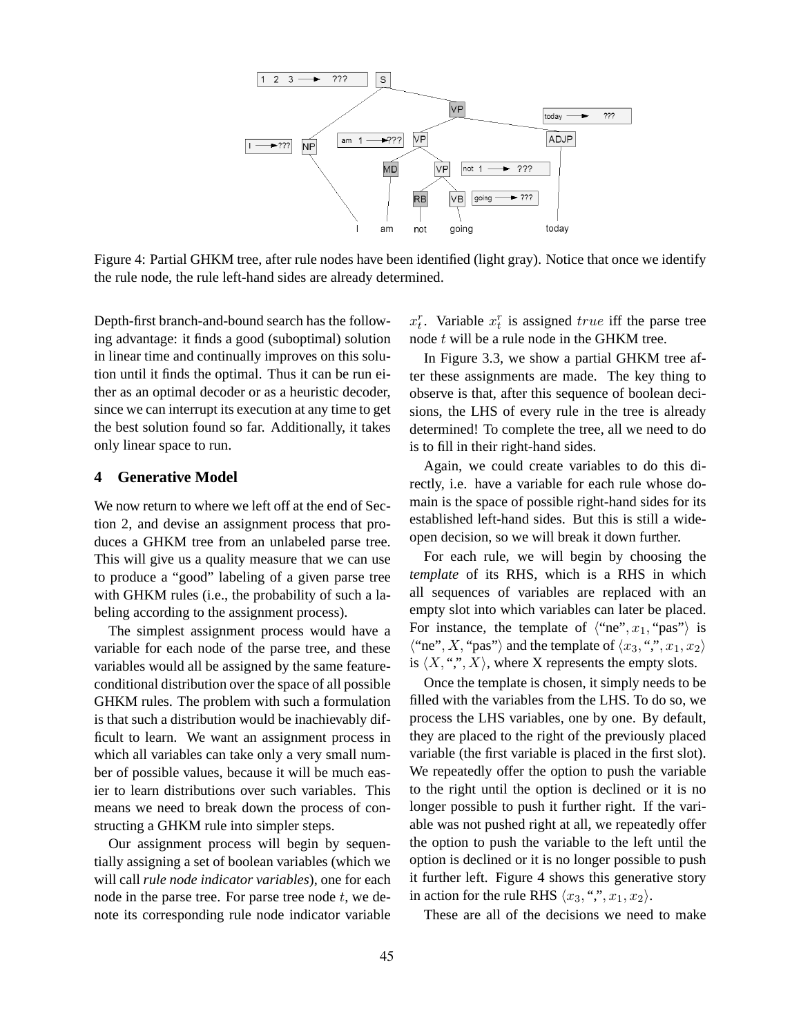

Figure 4: Partial GHKM tree, after rule nodes have been identified (light gray). Notice that once we identify the rule node, the rule left-hand sides are already determined.

Depth-first branch-and-bound search has the following advantage: it finds a good (suboptimal) solution in linear time and continually improves on this solution until it finds the optimal. Thus it can be run either as an optimal decoder or as a heuristic decoder, since we can interrupt its execution at any time to get the best solution found so far. Additionally, it takes only linear space to run.

# **4 Generative Model**

We now return to where we left off at the end of Section 2, and devise an assignment process that produces a GHKM tree from an unlabeled parse tree. This will give us a quality measure that we can use to produce a "good" labeling of a given parse tree with GHKM rules (i.e., the probability of such a labeling according to the assignment process).

The simplest assignment process would have a variable for each node of the parse tree, and these variables would all be assigned by the same featureconditional distribution over the space of all possible GHKM rules. The problem with such a formulation is that such a distribution would be inachievably difficult to learn. We want an assignment process in which all variables can take only a very small number of possible values, because it will be much easier to learn distributions over such variables. This means we need to break down the process of constructing a GHKM rule into simpler steps.

Our assignment process will begin by sequentially assigning a set of boolean variables (which we will call *rule node indicator variables*), one for each node in the parse tree. For parse tree node  $t$ , we denote its corresponding rule node indicator variable

 $x_t^r$ . Variable  $x_t^r$  is assigned true iff the parse tree node  $t$  will be a rule node in the GHKM tree.

In Figure 3.3, we show a partial GHKM tree after these assignments are made. The key thing to observe is that, after this sequence of boolean decisions, the LHS of every rule in the tree is already determined! To complete the tree, all we need to do is to fill in their right-hand sides.

Again, we could create variables to do this directly, i.e. have a variable for each rule whose domain is the space of possible right-hand sides for its established left-hand sides. But this is still a wideopen decision, so we will break it down further.

For each rule, we will begin by choosing the *template* of its RHS, which is a RHS in which all sequences of variables are replaced with an empty slot into which variables can later be placed. For instance, the template of  $\langle$ "ne",  $x_1$ , "pas" $\rangle$  is  $\langle$ "ne", X, "pas" $\rangle$  and the template of  $\langle x_3, "", x_1, x_2 \rangle$ is  $\langle X, \cdots, X \rangle$ , where X represents the empty slots.

Once the template is chosen, it simply needs to be filled with the variables from the LHS. To do so, we process the LHS variables, one by one. By default, they are placed to the right of the previously placed variable (the first variable is placed in the first slot). We repeatedly offer the option to push the variable to the right until the option is declined or it is no longer possible to push it further right. If the variable was not pushed right at all, we repeatedly offer the option to push the variable to the left until the option is declined or it is no longer possible to push it further left. Figure 4 shows this generative story in action for the rule RHS  $\langle x_3, "," , x_1, x_2 \rangle$ .

These are all of the decisions we need to make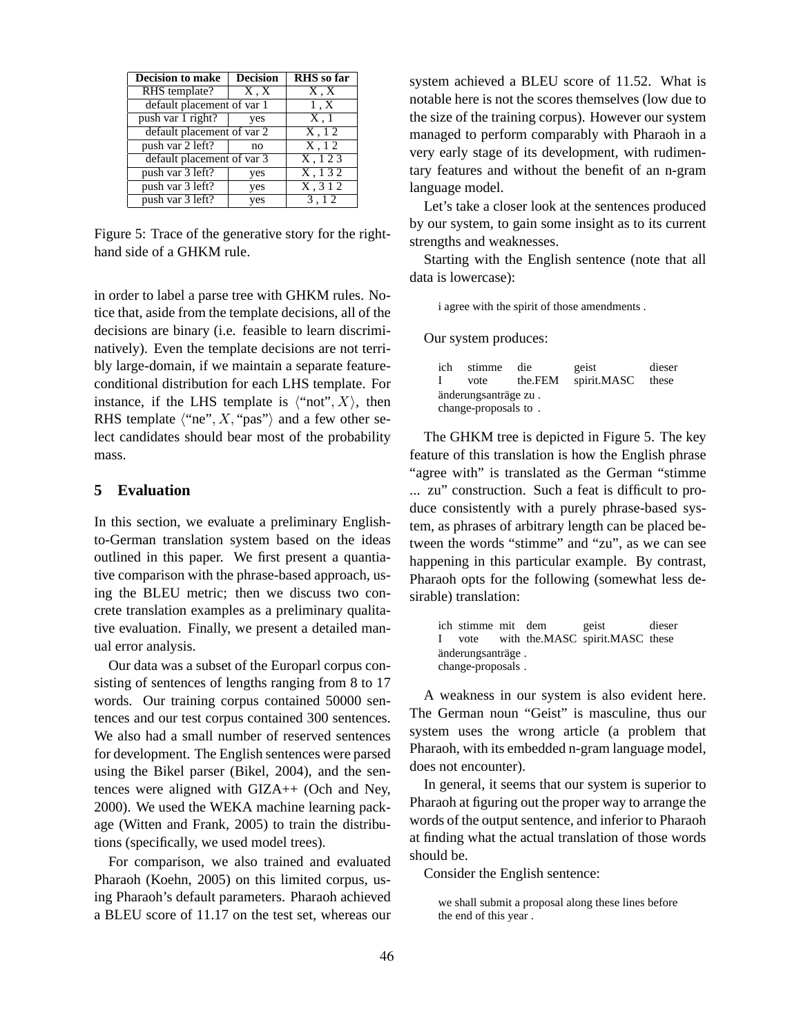| <b>Decision to make</b>    | <b>Decision</b> | <b>RHS</b> so far |  |  |
|----------------------------|-----------------|-------------------|--|--|
| RHS template?              | X, X            | X, X              |  |  |
| default placement of var 1 | 1, X            |                   |  |  |
| push var 1 right?          | yes             | X,1               |  |  |
| default placement of var 2 | X, 12           |                   |  |  |
| push var 2 left?           | no              | $\overline{X,12}$ |  |  |
| default placement of var 3 | X, 123          |                   |  |  |
| push var 3 left?           | yes             | X, 132            |  |  |
| push var 3 left?           | yes             | X, 312            |  |  |
| push var 3 left?           | yes             | 3,12              |  |  |

Figure 5: Trace of the generative story for the righthand side of a GHKM rule.

in order to label a parse tree with GHKM rules. Notice that, aside from the template decisions, all of the decisions are binary (i.e. feasible to learn discriminatively). Even the template decisions are not terribly large-domain, if we maintain a separate featureconditional distribution for each LHS template. For instance, if the LHS template is  $\langle \text{``not''}, X \rangle$ , then RHS template  $\langle$ "ne", X, "pas" $\rangle$  and a few other select candidates should bear most of the probability mass.

# **5 Evaluation**

In this section, we evaluate a preliminary Englishto-German translation system based on the ideas outlined in this paper. We first present a quantiative comparison with the phrase-based approach, using the BLEU metric; then we discuss two concrete translation examples as a preliminary qualitative evaluation. Finally, we present a detailed manual error analysis.

Our data was a subset of the Europarl corpus consisting of sentences of lengths ranging from 8 to 17 words. Our training corpus contained 50000 sentences and our test corpus contained 300 sentences. We also had a small number of reserved sentences for development. The English sentences were parsed using the Bikel parser (Bikel, 2004), and the sentences were aligned with GIZA++ (Och and Ney, 2000). We used the WEKA machine learning package (Witten and Frank, 2005) to train the distributions (specifically, we used model trees).

For comparison, we also trained and evaluated Pharaoh (Koehn, 2005) on this limited corpus, using Pharaoh's default parameters. Pharaoh achieved a BLEU score of 11.17 on the test set, whereas our system achieved a BLEU score of 11.52. What is notable here is not the scores themselves (low due to the size of the training corpus). However our system managed to perform comparably with Pharaoh in a very early stage of its development, with rudimentary features and without the benefit of an n-gram language model.

Let's take a closer look at the sentences produced by our system, to gain some insight as to its current strengths and weaknesses.

Starting with the English sentence (note that all data is lowercase):

i agree with the spirit of those amendments .

Our system produces:

ich I stimme vote die the.FEM geist spirit.MASC dieser these änderungsanträge zu. change-proposals to .

The GHKM tree is depicted in Figure 5. The key feature of this translation is how the English phrase "agree with" is translated as the German "stimme ... zu" construction. Such a feat is difficult to produce consistently with a purely phrase-based system, as phrases of arbitrary length can be placed between the words "stimme" and "zu", as we can see happening in this particular example. By contrast, Pharaoh opts for the following (somewhat less desirable) translation:

> ich stimme mit dem I vote with the.MASC spirit.MASC these geist dieser änderungsanträge. change-proposals .

A weakness in our system is also evident here. The German noun "Geist" is masculine, thus our system uses the wrong article (a problem that Pharaoh, with its embedded n-gram language model, does not encounter).

In general, it seems that our system is superior to Pharaoh at figuring out the proper way to arrange the words of the output sentence, and inferior to Pharaoh at finding what the actual translation of those words should be.

Consider the English sentence:

we shall submit a proposal along these lines before the end of this year .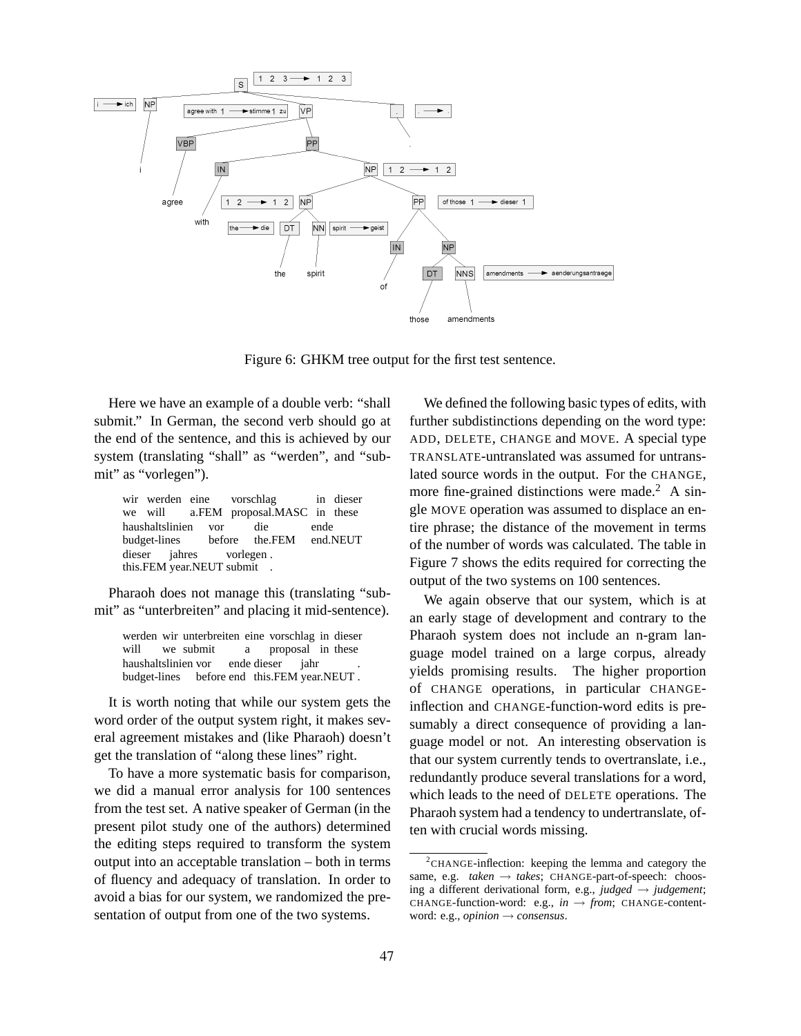

Figure 6: GHKM tree output for the first test sentence.

Here we have an example of a double verb: "shall submit." In German, the second verb should go at the end of the sentence, and this is achieved by our system (translating "shall" as "werden", and "submit" as "vorlegen").

wir werden eine we will a.FEM vorschlag proposal.MASC in these in dieser haushaltslinien budget-lines vor before die the.FEM ende end.NEUT dieser this.FEM year.NEUT submit . jahres vorlegen .

Pharaoh does not manage this (translating "submit" as "unterbreiten" and placing it mid-sentence).

werden wir unterbreiten eine vorschlag in dieser will we submit a proposal in these haushaltslinien vor budget-lines before end this.FEM year.NEUT . ende dieser jahr .

It is worth noting that while our system gets the word order of the output system right, it makes several agreement mistakes and (like Pharaoh) doesn't get the translation of "along these lines" right.

To have a more systematic basis for comparison, we did a manual error analysis for 100 sentences from the test set. A native speaker of German (in the present pilot study one of the authors) determined the editing steps required to transform the system output into an acceptable translation – both in terms of fluency and adequacy of translation. In order to avoid a bias for our system, we randomized the presentation of output from one of the two systems.

We defined the following basic types of edits, with further subdistinctions depending on the word type: ADD, DELETE, CHANGE and MOVE. A special type TRANSLATE-untranslated was assumed for untranslated source words in the output. For the CHANGE, more fine-grained distinctions were made.<sup>2</sup> A single MOVE operation was assumed to displace an entire phrase; the distance of the movement in terms of the number of words was calculated. The table in Figure 7 shows the edits required for correcting the output of the two systems on 100 sentences.

We again observe that our system, which is at an early stage of development and contrary to the Pharaoh system does not include an n-gram language model trained on a large corpus, already yields promising results. The higher proportion of CHANGE operations, in particular CHANGEinflection and CHANGE-function-word edits is presumably a direct consequence of providing a language model or not. An interesting observation is that our system currently tends to overtranslate, i.e., redundantly produce several translations for a word, which leads to the need of DELETE operations. The Pharaoh system had a tendency to undertranslate, often with crucial words missing.

 $2$ CHANGE-inflection: keeping the lemma and category the same, e.g. *taken* → *takes*; CHANGE-part-of-speech: choosing a different derivational form, e.g., *judged* → *judgement*; CHANGE-function-word: e.g.,  $in \rightarrow from$ ; CHANGE-contentword: e.g., *opinion* → *consensus*.